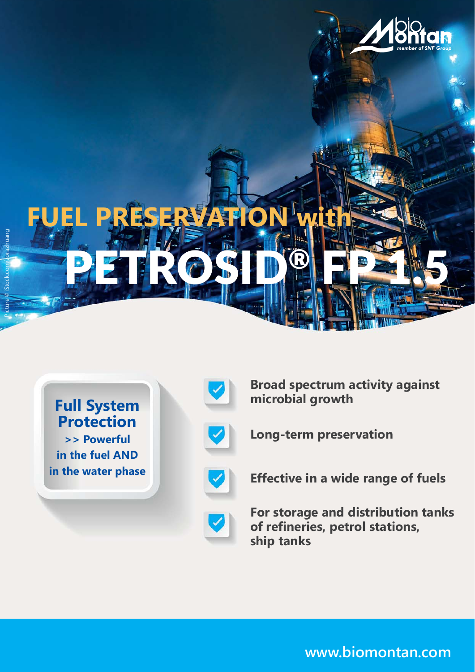

**Full System Protection**

**>> Powerful in the fuel AND in the water phase**



**Broad spectrum activity against microbial growth**



**Long-term preservation**



**Effective in a wide range of fuels**



**For storage and distribution tanks of refineries, petrol stations, ship tanks**

**www.biomontan.com**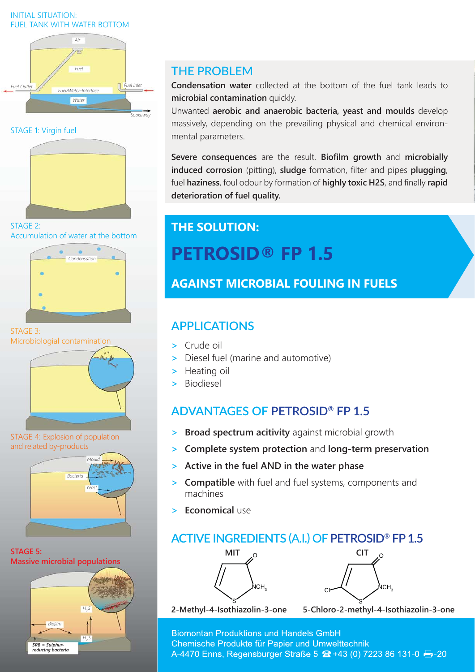#### INITIAL SITUATION: FUEL TANK WITH WATER BOTTOM



STAGE 1: Virgin fuel



STAGE 2: Accumulation of water at the bottom



STAGE 3: Microbiologial contamination



STAGE 4: Explosion of population and related by-products



**STAGE 5: Massive microbial populations**



## **THE PROBLEM**

**Condensation water** collected at the bottom of the fuel tank leads to **microbial contamination** quickly.

Unwanted **aerobic and anaerobic bacteria, yeast and moulds** develop massively, depending on the prevailing physical and chemical environmental parameters.

**Severe consequences** are the result. **Biofilm growth** and **microbially induced corrosion** (pitting), **sludge** formation, filter and pipes **plugging**, fuel **haziness**, foul odour by formation of **highly toxic H2S**, and finally **rapid deterioration of fuel quality.**

# **THE SOLUTION: PETROSID® FP 1.5**

**AGAINST MICROBIAL FOULING IN FUELS**

## **APPLICATIONS**

- **>** Crude oil
- **>** Diesel fuel (marine and automotive)
- **>** Heating oil
- **>** Biodiesel

# **ADVANTAGES OF PETROSID® FP 1.5**

- **> Broad spectrum acitivity** against microbial growth
- **> Complete system protection** and **long-term preservation**
- **> Active in the fuel AND in the water phase**
- **> Compatible** with fuel and fuel systems, components and machines
- **> Economical** use

## **ACTIVE INGREDIENTS (A.I.) OF PETROSID® FP 1.5**





**2-Methyl-4-Isothiazolin-3-one 5-Chloro-2-methyl-4-Isothiazolin-3-one**

**Biomontan Produktions und Handels GmbH** Chemische Produkte für Papier und Umwelttechnik A-4470 Enns, Regensburger Straße 5 <del>2 +</del>43 (0) 7223 86 131-0 → -20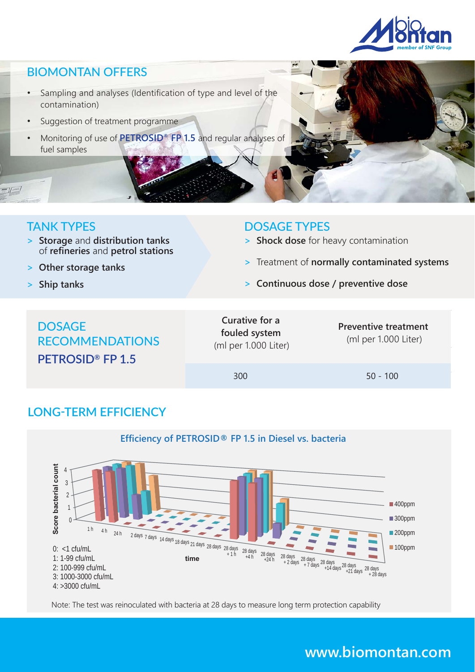

#### BIOMONTAN OFFERS

- Sampling and analyses (Identification of type and level of the contamination)
- Suggestion of treatment programme
- Monitoring of use of **PETROSID® FP 1.5** and regular analyses of fuel samples

#### TANK TYPES

 $-1$ 

- **> Storage** and **distribution tanks**  of **refineries** and **petrol stations**
- **> Other storage tanks**
- **> Ship tanks**

#### DOSAGE TYPES

- **> Shock dose** for heavy contamination
- **>** Treatment of **normally contaminated systems**
- **> Continuous dose / preventive dose**

# **DOSAGE** RECOMMENDATIONS **PETROSID® FP 1.5**

#### **Curative for a fouled system** (ml per 1.000 Liter)

**Preventive treatment** (ml per 1.000 Liter)

300 50 - 100

### **LONG҃TERM EFFICIENCY**



Note: The test was reinoculated with bacteria at 28 days to measure long term protection capability

# **www.biomontan.com**